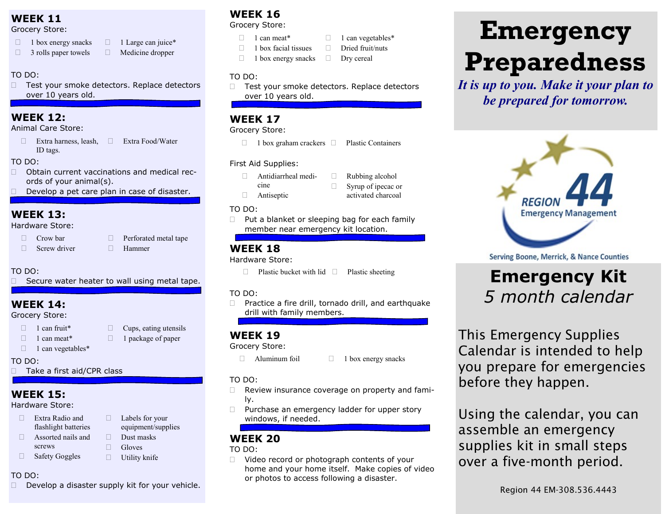## **WEEK 11**

#### Grocery Store:

- $\Box$  1 box energy snacks
- $\Box$  3 rolls paper towels  $\Box$  1 Large can juice\* Medicine dropper
- TO DO:
- □ Test your smoke detectors. Replace detectors over 10 years old.

## **WEEK 12:**

Animal Care Store:

 $\Box$  Extra harness, leash, ID tags. Extra Food/Water

#### TO DO:

- □ Obtain current vaccinations and medical records of your animal(s).
- $\Box$  Develop a pet care plan in case of disaster.

## **WEEK 13:**

#### Hardware Store:

- $\Box$  Crow bar  $\Box$  Screw driver
- **Perforated metal tape** Hammer

#### TO DO:

 $\Box$  Secure water heater to wall using metal tape.

## **WEEK 14:**

Grocery Store:

- $\Box$  1 can fruit\*
- $\Box$  Cups, eating utensils  $\Box$  1 package of paper
- $\Box$  1 can meat\*  $\Box$  1 can vegetables\*

#### TO DO:

□ Take a first aid/CPR class

## **WEEK 15:**

#### Hardware Store:

- □ Extra Radio and flashlight batteries
- Assorted nails and screws
- □ Safety Goggles
- 

#### $\Box$  Utility knife

□ Labels for your equipment/supplies

Dust masks

#### TO DO:

 $\Box$  Develop a disaster supply kit for your vehicle.

## **WEEK 16**

#### Grocery Store:

- $\Box$  1 can meat\*
- $\Box$  1 box facial tissues  $\Box$  1 can vegetables\*  $\Box$  Dried fruit/nuts
- $\Box$  1 box energy snacks Drv cereal

#### TO DO:

□ Test your smoke detectors. Replace detectors over 10 years old.

## **WEEK 17**

#### Grocery Store:

 $\Box$  1 box graham crackers  $\Box$  Plastic Containers

#### First Aid Supplies:

- Antidiarrheal medicine
	-
- **Example** Antiseptic

#### TO DO:

 $\Box$  Put a blanket or sleeping bag for each family member near emergency kit location.

 Rubbing alcohol  $\Box$  Syrup of ipecac or activated charcoal

## **WEEK 18**

#### Hardware Store:

 $\Box$  Plastic bucket with lid  $\Box$  Plastic sheeting

#### TO DO:

 $\Box$  Practice a fire drill, tornado drill, and earthquake drill with family members.

### **WEEK 19**

#### Grocery Store:

 $\Box$  Aluminum foil  $\Box$  1 box energy snacks

#### TO DO:

- $\Box$  Review insurance coverage on property and family.
- $\Box$  Purchase an emergency ladder for upper story windows, if needed.

## **WEEK 20**

#### TO DO:

□ Video record or photograph contents of your home and your home itself. Make copies of video or photos to access following a disaster.

# **Emergency Preparedness**

*It is up to you. Make it your plan to be prepared for tomorrow.*



Serving Boone, Merrick, & Nance Counties

## **Emergency Kit**  *5 month calendar*

This Emergency Supplies Calendar is intended to help you prepare for emergencies before they happen.

Using the calendar, you can assemble an emergency supplies kit in small steps over a five-month period.

**Gloves**